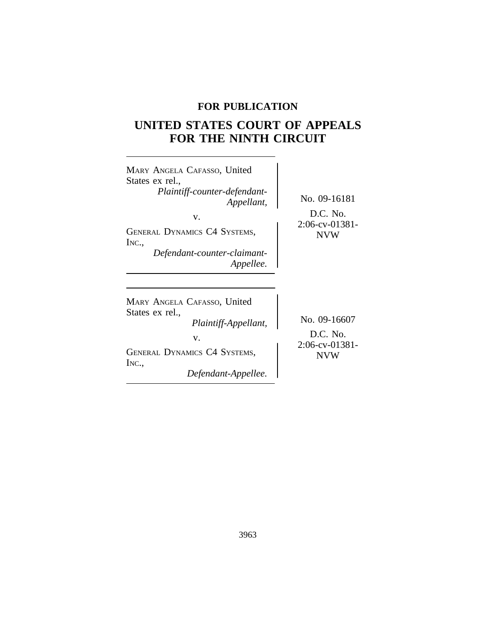## **FOR PUBLICATION**

# **UNITED STATES COURT OF APPEALS FOR THE NINTH CIRCUIT**

| MARY ANGELA CAFASSO, United<br>States ex rel.,<br>Plaintiff-counter-defendant-<br>Appellant,<br>V.<br><b>GENERAL DYNAMICS C4 SYSTEMS,</b><br>INC.,<br>Defendant-counter-claimant-<br>Appellee. | No. 09-16181<br>D.C. No.<br>$2:06$ -cv-01381-<br><b>NVW</b> |
|------------------------------------------------------------------------------------------------------------------------------------------------------------------------------------------------|-------------------------------------------------------------|
| MARY ANGELA CAFASSO, United<br>States ex rel.,<br>Plaintiff-Appellant,<br>V.<br><b>GENERAL DYNAMICS C4 SYSTEMS,</b><br>INC<br>Defendant-Appellee.                                              | No. 09-16607<br>D.C. No.<br>$2:06$ -cv-01381-<br><b>NVW</b> |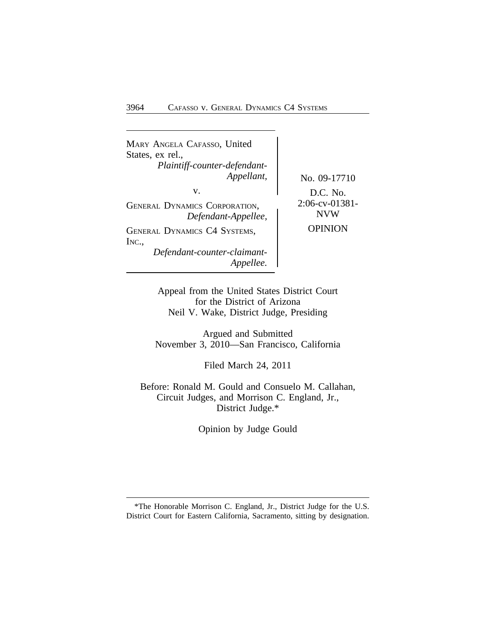| MARY ANGELA CAFASSO, United<br>States, ex rel.,<br>Plaintiff-counter-defendant-<br>Appellant, | No. 09-17710                               |
|-----------------------------------------------------------------------------------------------|--------------------------------------------|
| v.<br><b>GENERAL DYNAMICS CORPORATION,</b><br>Defendant-Appellee,                             | $D.C.$ No.<br>2:06-cv-01381-<br><b>NVW</b> |
| <b>GENERAL DYNAMICS C4 SYSTEMS,</b><br>INC.,<br>Defendant-counter-claimant-<br>Appellee.      | <b>OPINION</b>                             |

Appeal from the United States District Court for the District of Arizona Neil V. Wake, District Judge, Presiding

Argued and Submitted November 3, 2010—San Francisco, California

Filed March 24, 2011

Before: Ronald M. Gould and Consuelo M. Callahan, Circuit Judges, and Morrison C. England, Jr., District Judge.\*

Opinion by Judge Gould

<sup>\*</sup>The Honorable Morrison C. England, Jr., District Judge for the U.S. District Court for Eastern California, Sacramento, sitting by designation.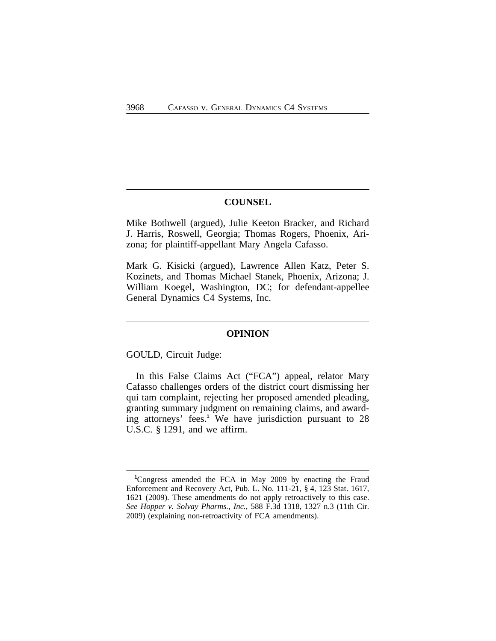## **COUNSEL**

Mike Bothwell (argued), Julie Keeton Bracker, and Richard J. Harris, Roswell, Georgia; Thomas Rogers, Phoenix, Arizona; for plaintiff-appellant Mary Angela Cafasso.

Mark G. Kisicki (argued), Lawrence Allen Katz, Peter S. Kozinets, and Thomas Michael Stanek, Phoenix, Arizona; J. William Koegel, Washington, DC; for defendant-appellee General Dynamics C4 Systems, Inc.

#### **OPINION**

GOULD, Circuit Judge:

In this False Claims Act ("FCA") appeal, relator Mary Cafasso challenges orders of the district court dismissing her qui tam complaint, rejecting her proposed amended pleading, granting summary judgment on remaining claims, and awarding attorneys' fees.**<sup>1</sup>** We have jurisdiction pursuant to 28 U.S.C. § 1291, and we affirm.

**<sup>1</sup>**Congress amended the FCA in May 2009 by enacting the Fraud Enforcement and Recovery Act, Pub. L. No. 111-21, § 4, 123 Stat. 1617, 1621 (2009). These amendments do not apply retroactively to this case. *See Hopper v. Solvay Pharms., Inc.*, 588 F.3d 1318, 1327 n.3 (11th Cir. 2009) (explaining non-retroactivity of FCA amendments).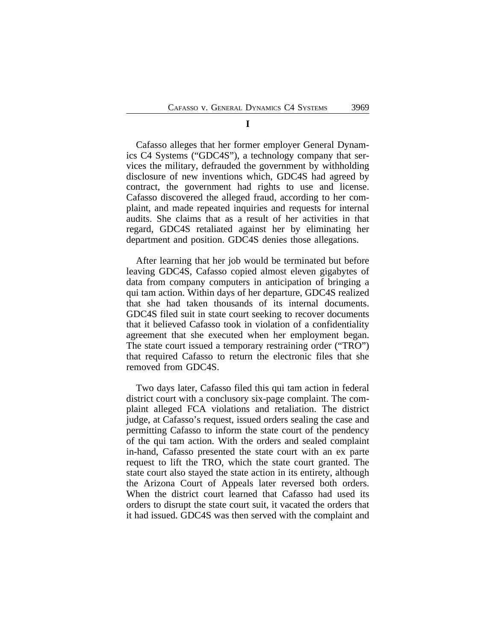**I**

Cafasso alleges that her former employer General Dynamics C4 Systems ("GDC4S"), a technology company that services the military, defrauded the government by withholding disclosure of new inventions which, GDC4S had agreed by contract, the government had rights to use and license. Cafasso discovered the alleged fraud, according to her complaint, and made repeated inquiries and requests for internal audits. She claims that as a result of her activities in that regard, GDC4S retaliated against her by eliminating her department and position. GDC4S denies those allegations.

After learning that her job would be terminated but before leaving GDC4S, Cafasso copied almost eleven gigabytes of data from company computers in anticipation of bringing a qui tam action. Within days of her departure, GDC4S realized that she had taken thousands of its internal documents. GDC4S filed suit in state court seeking to recover documents that it believed Cafasso took in violation of a confidentiality agreement that she executed when her employment began. The state court issued a temporary restraining order ("TRO") that required Cafasso to return the electronic files that she removed from GDC4S.

Two days later, Cafasso filed this qui tam action in federal district court with a conclusory six-page complaint. The complaint alleged FCA violations and retaliation. The district judge, at Cafasso's request, issued orders sealing the case and permitting Cafasso to inform the state court of the pendency of the qui tam action. With the orders and sealed complaint in-hand, Cafasso presented the state court with an ex parte request to lift the TRO, which the state court granted. The state court also stayed the state action in its entirety, although the Arizona Court of Appeals later reversed both orders. When the district court learned that Cafasso had used its orders to disrupt the state court suit, it vacated the orders that it had issued. GDC4S was then served with the complaint and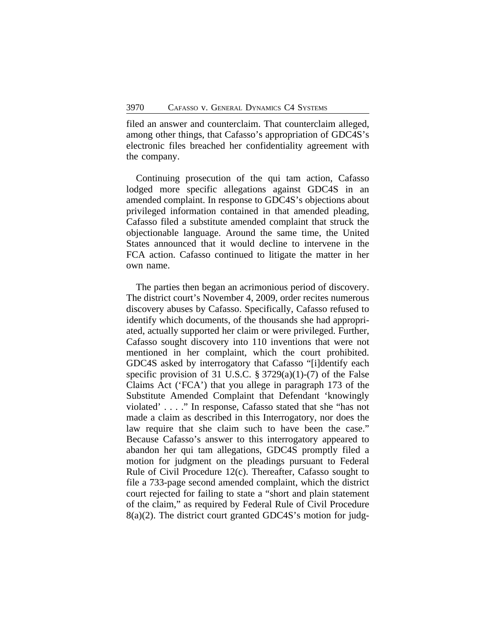filed an answer and counterclaim. That counterclaim alleged, among other things, that Cafasso's appropriation of GDC4S's electronic files breached her confidentiality agreement with the company.

Continuing prosecution of the qui tam action, Cafasso lodged more specific allegations against GDC4S in an amended complaint. In response to GDC4S's objections about privileged information contained in that amended pleading, Cafasso filed a substitute amended complaint that struck the objectionable language. Around the same time, the United States announced that it would decline to intervene in the FCA action. Cafasso continued to litigate the matter in her own name.

The parties then began an acrimonious period of discovery. The district court's November 4, 2009, order recites numerous discovery abuses by Cafasso. Specifically, Cafasso refused to identify which documents, of the thousands she had appropriated, actually supported her claim or were privileged. Further, Cafasso sought discovery into 110 inventions that were not mentioned in her complaint, which the court prohibited. GDC4S asked by interrogatory that Cafasso "[i]dentify each specific provision of 31 U.S.C.  $\S 3729(a)(1)-(7)$  of the False Claims Act ('FCA') that you allege in paragraph 173 of the Substitute Amended Complaint that Defendant 'knowingly violated' . . . ." In response, Cafasso stated that she "has not made a claim as described in this Interrogatory, nor does the law require that she claim such to have been the case." Because Cafasso's answer to this interrogatory appeared to abandon her qui tam allegations, GDC4S promptly filed a motion for judgment on the pleadings pursuant to Federal Rule of Civil Procedure 12(c). Thereafter, Cafasso sought to file a 733-page second amended complaint, which the district court rejected for failing to state a "short and plain statement of the claim," as required by Federal Rule of Civil Procedure 8(a)(2). The district court granted GDC4S's motion for judg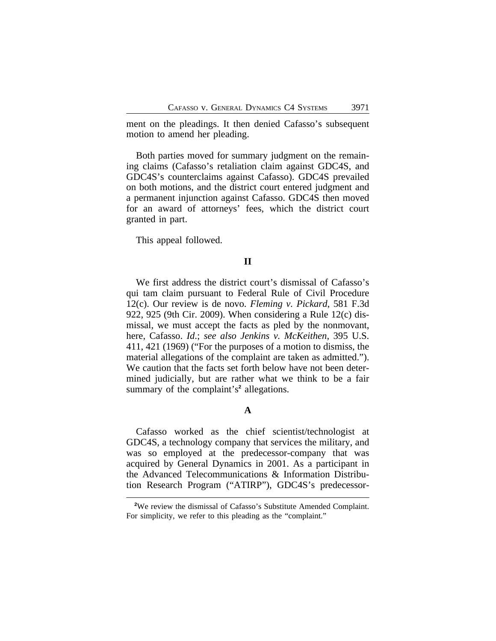ment on the pleadings. It then denied Cafasso's subsequent motion to amend her pleading.

Both parties moved for summary judgment on the remaining claims (Cafasso's retaliation claim against GDC4S, and GDC4S's counterclaims against Cafasso). GDC4S prevailed on both motions, and the district court entered judgment and a permanent injunction against Cafasso. GDC4S then moved for an award of attorneys' fees, which the district court granted in part.

This appeal followed.

### **II**

We first address the district court's dismissal of Cafasso's qui tam claim pursuant to Federal Rule of Civil Procedure 12(c). Our review is de novo. *Fleming v. Pickard*, 581 F.3d 922, 925 (9th Cir. 2009). When considering a Rule 12(c) dismissal, we must accept the facts as pled by the nonmovant, here, Cafasso. *Id*.; *see also Jenkins v. McKeithen*, 395 U.S. 411, 421 (1969) ("For the purposes of a motion to dismiss, the material allegations of the complaint are taken as admitted."). We caution that the facts set forth below have not been determined judicially, but are rather what we think to be a fair summary of the complaint's<sup>2</sup> allegations.

## **A**

Cafasso worked as the chief scientist/technologist at GDC4S, a technology company that services the military, and was so employed at the predecessor-company that was acquired by General Dynamics in 2001. As a participant in the Advanced Telecommunications & Information Distribution Research Program ("ATIRP"), GDC4S's predecessor-

**<sup>2</sup>**We review the dismissal of Cafasso's Substitute Amended Complaint. For simplicity, we refer to this pleading as the "complaint."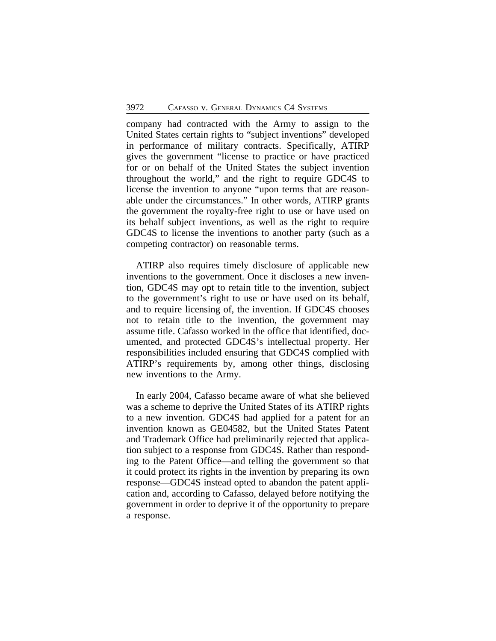company had contracted with the Army to assign to the United States certain rights to "subject inventions" developed in performance of military contracts. Specifically, ATIRP gives the government "license to practice or have practiced for or on behalf of the United States the subject invention throughout the world," and the right to require GDC4S to license the invention to anyone "upon terms that are reasonable under the circumstances." In other words, ATIRP grants the government the royalty-free right to use or have used on its behalf subject inventions, as well as the right to require GDC4S to license the inventions to another party (such as a competing contractor) on reasonable terms.

ATIRP also requires timely disclosure of applicable new inventions to the government. Once it discloses a new invention, GDC4S may opt to retain title to the invention, subject to the government's right to use or have used on its behalf, and to require licensing of, the invention. If GDC4S chooses not to retain title to the invention, the government may assume title. Cafasso worked in the office that identified, documented, and protected GDC4S's intellectual property. Her responsibilities included ensuring that GDC4S complied with ATIRP's requirements by, among other things, disclosing new inventions to the Army.

In early 2004, Cafasso became aware of what she believed was a scheme to deprive the United States of its ATIRP rights to a new invention. GDC4S had applied for a patent for an invention known as GE04582, but the United States Patent and Trademark Office had preliminarily rejected that application subject to a response from GDC4S. Rather than responding to the Patent Office—and telling the government so that it could protect its rights in the invention by preparing its own response—GDC4S instead opted to abandon the patent application and, according to Cafasso, delayed before notifying the government in order to deprive it of the opportunity to prepare a response.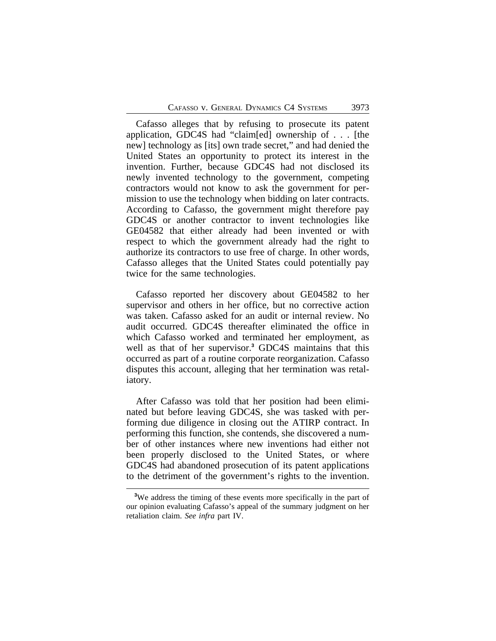Cafasso alleges that by refusing to prosecute its patent application, GDC4S had "claim[ed] ownership of . . . [the new] technology as [its] own trade secret," and had denied the United States an opportunity to protect its interest in the invention. Further, because GDC4S had not disclosed its newly invented technology to the government, competing contractors would not know to ask the government for permission to use the technology when bidding on later contracts. According to Cafasso, the government might therefore pay GDC4S or another contractor to invent technologies like GE04582 that either already had been invented or with respect to which the government already had the right to authorize its contractors to use free of charge. In other words, Cafasso alleges that the United States could potentially pay twice for the same technologies.

Cafasso reported her discovery about GE04582 to her supervisor and others in her office, but no corrective action was taken. Cafasso asked for an audit or internal review. No audit occurred. GDC4S thereafter eliminated the office in which Cafasso worked and terminated her employment, as well as that of her supervisor.**<sup>3</sup>** GDC4S maintains that this occurred as part of a routine corporate reorganization. Cafasso disputes this account, alleging that her termination was retaliatory.

After Cafasso was told that her position had been eliminated but before leaving GDC4S, she was tasked with performing due diligence in closing out the ATIRP contract. In performing this function, she contends, she discovered a number of other instances where new inventions had either not been properly disclosed to the United States, or where GDC4S had abandoned prosecution of its patent applications to the detriment of the government's rights to the invention.

<sup>&</sup>lt;sup>3</sup>We address the timing of these events more specifically in the part of our opinion evaluating Cafasso's appeal of the summary judgment on her retaliation claim. *See infra* part IV.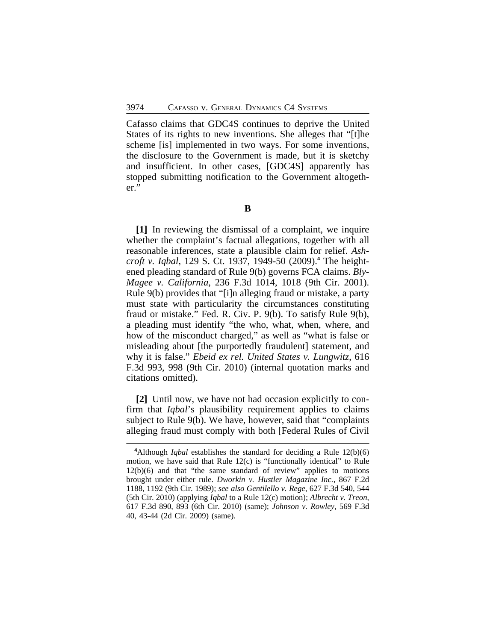Cafasso claims that GDC4S continues to deprive the United States of its rights to new inventions. She alleges that "[t]he scheme [is] implemented in two ways. For some inventions, the disclosure to the Government is made, but it is sketchy and insufficient. In other cases, [GDC4S] apparently has stopped submitting notification to the Government altogether."

**[1]** In reviewing the dismissal of a complaint, we inquire whether the complaint's factual allegations, together with all reasonable inferences, state a plausible claim for relief. *Ashcroft v. Iqbal*, 129 S. Ct. 1937, 1949-50 (2009).**<sup>4</sup>** The heightened pleading standard of Rule 9(b) governs FCA claims. *Bly-Magee v. California*, 236 F.3d 1014, 1018 (9th Cir. 2001). Rule 9(b) provides that "[i]n alleging fraud or mistake, a party must state with particularity the circumstances constituting fraud or mistake." Fed. R. Civ. P. 9(b). To satisfy Rule 9(b), a pleading must identify "the who, what, when, where, and how of the misconduct charged," as well as "what is false or misleading about [the purportedly fraudulent] statement, and why it is false." *Ebeid ex rel. United States v. Lungwitz*, 616 F.3d 993, 998 (9th Cir. 2010) (internal quotation marks and citations omitted).

**[2]** Until now, we have not had occasion explicitly to confirm that *Iqbal*'s plausibility requirement applies to claims subject to Rule 9(b). We have, however, said that "complaints alleging fraud must comply with both [Federal Rules of Civil

**B**

**<sup>4</sup>**Although *Iqbal* establishes the standard for deciding a Rule 12(b)(6) motion, we have said that Rule 12(c) is "functionally identical" to Rule 12(b)(6) and that "the same standard of review" applies to motions brought under either rule. *Dworkin v. Hustler Magazine Inc.*, 867 F.2d 1188, 1192 (9th Cir. 1989); *see also Gentilello v. Rege*, 627 F.3d 540, 544 (5th Cir. 2010) (applying *Iqbal* to a Rule 12(c) motion); *Albrecht v. Treon*, 617 F.3d 890, 893 (6th Cir. 2010) (same); *Johnson v. Rowley*, 569 F.3d 40, 43-44 (2d Cir. 2009) (same).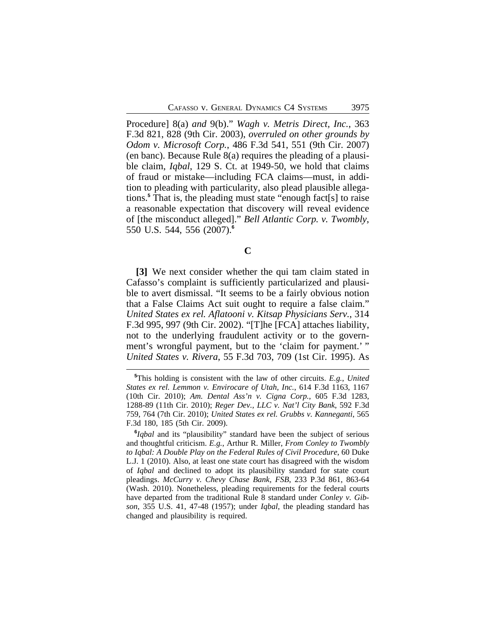Procedure] 8(a) *and* 9(b)." *Wagh v. Metris Direct, Inc.*, 363 F.3d 821, 828 (9th Cir. 2003), *overruled on other grounds by Odom v. Microsoft Corp.*, 486 F.3d 541, 551 (9th Cir. 2007) (en banc). Because Rule 8(a) requires the pleading of a plausible claim, *Iqbal*, 129 S. Ct. at 1949-50, we hold that claims of fraud or mistake—including FCA claims—must, in addition to pleading with particularity, also plead plausible allegations.**<sup>5</sup>** That is, the pleading must state "enough fact[s] to raise a reasonable expectation that discovery will reveal evidence of [the misconduct alleged]." *Bell Atlantic Corp. v. Twombly*, 550 U.S. 544, 556 (2007).**<sup>6</sup>**

**[3]** We next consider whether the qui tam claim stated in Cafasso's complaint is sufficiently particularized and plausible to avert dismissal. "It seems to be a fairly obvious notion that a False Claims Act suit ought to require a false claim." *United States ex rel. Aflatooni v. Kitsap Physicians Serv.*, 314 F.3d 995, 997 (9th Cir. 2002). "[T]he [FCA] attaches liability, not to the underlying fraudulent activity or to the government's wrongful payment, but to the 'claim for payment.' " *United States v. Rivera*, 55 F.3d 703, 709 (1st Cir. 1995). As

**C**

**<sup>5</sup>**This holding is consistent with the law of other circuits. *E.g.*, *United States ex rel. Lemmon v. Envirocare of Utah, Inc.*, 614 F.3d 1163, 1167 (10th Cir. 2010); *Am. Dental Ass'n v. Cigna Corp.*, 605 F.3d 1283, 1288-89 (11th Cir. 2010); *Reger Dev., LLC v. Nat'l City Bank*, 592 F.3d 759, 764 (7th Cir. 2010); *United States ex rel. Grubbs v. Kanneganti*, 565 F.3d 180, 185 (5th Cir. 2009).

**<sup>6</sup>** *Iqbal* and its "plausibility" standard have been the subject of serious and thoughtful criticism. *E.g.*, Arthur R. Miller, *From Conley to Twombly to Iqbal: A Double Play on the Federal Rules of Civil Procedure*, 60 Duke L.J. 1 (2010). Also, at least one state court has disagreed with the wisdom of *Iqbal* and declined to adopt its plausibility standard for state court pleadings. *McCurry v. Chevy Chase Bank, FSB*, 233 P.3d 861, 863-64 (Wash. 2010). Nonetheless, pleading requirements for the federal courts have departed from the traditional Rule 8 standard under *Conley v. Gibson*, 355 U.S. 41, 47-48 (1957); under *Iqbal*, the pleading standard has changed and plausibility is required.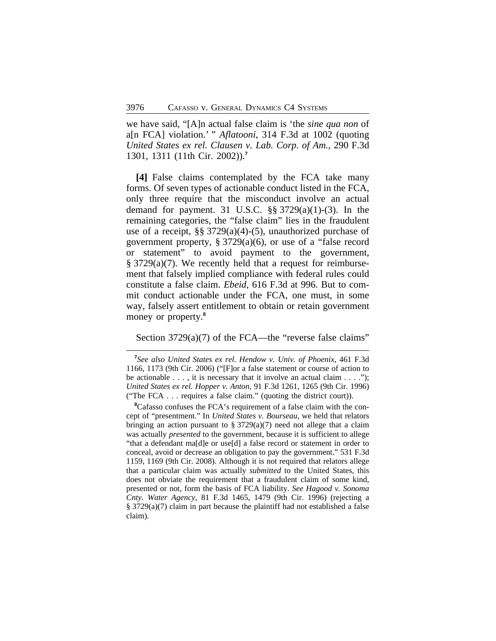we have said, "[A]n actual false claim is 'the *sine qua non* of a[n FCA] violation.' " *Aflatooni*, 314 F.3d at 1002 (quoting *United States ex rel. Clausen v. Lab. Corp. of Am.*, 290 F.3d 1301, 1311 (11th Cir. 2002)).**<sup>7</sup>**

**[4]** False claims contemplated by the FCA take many forms. Of seven types of actionable conduct listed in the FCA, only three require that the misconduct involve an actual demand for payment. 31 U.S.C.  $\S$ § 3729(a)(1)-(3). In the remaining categories, the "false claim" lies in the fraudulent use of a receipt, §§ 3729(a)(4)-(5), unauthorized purchase of government property, § 3729(a)(6), or use of a "false record or statement" to avoid payment to the government, § 3729(a)(7). We recently held that a request for reimbursement that falsely implied compliance with federal rules could constitute a false claim. *Ebeid*, 616 F.3d at 996. But to commit conduct actionable under the FCA, one must, in some way, falsely assert entitlement to obtain or retain government money or property.**<sup>8</sup>**

## Section 3729(a)(7) of the FCA—the "reverse false claims"

**<sup>7</sup>** *See also United States ex rel. Hendow v. Univ. of Phoenix*, 461 F.3d 1166, 1173 (9th Cir. 2006) ("[F]or a false statement or course of action to be actionable  $\dots$ , it is necessary that it involve an actual claim  $\dots$ ."); *United States ex rel. Hopper v. Anton*, 91 F.3d 1261, 1265 (9th Cir. 1996) ("The FCA . . . requires a false claim." (quoting the district court)).

**<sup>8</sup>**Cafasso confuses the FCA's requirement of a false claim with the concept of "presentment." In *United States v. Bourseau*, we held that relators bringing an action pursuant to § 3729(a)(7) need not allege that a claim was actually *presented* to the government, because it is sufficient to allege "that a defendant ma[d]e or use[d] a false record or statement in order to conceal, avoid or decrease an obligation to pay the government." 531 F.3d 1159, 1169 (9th Cir. 2008). Although it is not required that relators allege that a particular claim was actually *submitted* to the United States, this does not obviate the requirement that a fraudulent claim of some kind, presented or not, form the basis of FCA liability. *See Hagood v. Sonoma Cnty. Water Agency*, 81 F.3d 1465, 1479 (9th Cir. 1996) (rejecting a § 3729(a)(7) claim in part because the plaintiff had not established a false claim).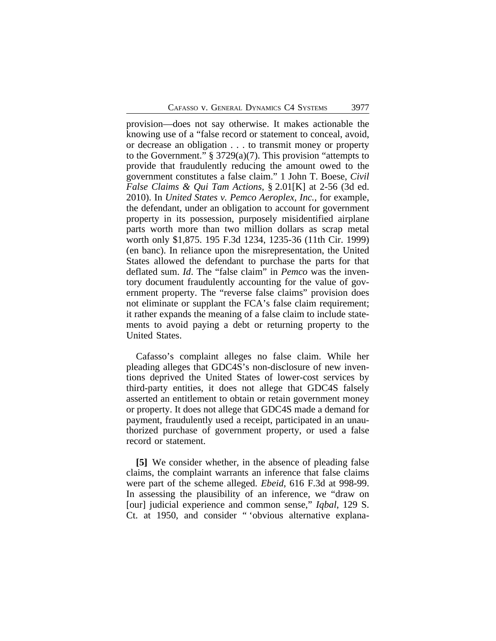provision—does not say otherwise. It makes actionable the knowing use of a "false record or statement to conceal, avoid, or decrease an obligation . . . to transmit money or property to the Government." § 3729(a)(7). This provision "attempts to provide that fraudulently reducing the amount owed to the government constitutes a false claim." 1 John T. Boese, *Civil False Claims & Qui Tam Actions*, § 2.01[K] at 2-56 (3d ed. 2010). In *United States v. Pemco Aeroplex, Inc.*, for example, the defendant, under an obligation to account for government property in its possession, purposely misidentified airplane parts worth more than two million dollars as scrap metal worth only \$1,875. 195 F.3d 1234, 1235-36 (11th Cir. 1999) (en banc). In reliance upon the misrepresentation, the United States allowed the defendant to purchase the parts for that deflated sum. *Id*. The "false claim" in *Pemco* was the inventory document fraudulently accounting for the value of government property. The "reverse false claims" provision does not eliminate or supplant the FCA's false claim requirement; it rather expands the meaning of a false claim to include statements to avoid paying a debt or returning property to the United States.

Cafasso's complaint alleges no false claim. While her pleading alleges that GDC4S's non-disclosure of new inventions deprived the United States of lower-cost services by third-party entities, it does not allege that GDC4S falsely asserted an entitlement to obtain or retain government money or property. It does not allege that GDC4S made a demand for payment, fraudulently used a receipt, participated in an unauthorized purchase of government property, or used a false record or statement.

**[5]** We consider whether, in the absence of pleading false claims, the complaint warrants an inference that false claims were part of the scheme alleged. *Ebeid*, 616 F.3d at 998-99. In assessing the plausibility of an inference, we "draw on [our] judicial experience and common sense," *Iqbal*, 129 S. Ct. at 1950, and consider " 'obvious alternative explana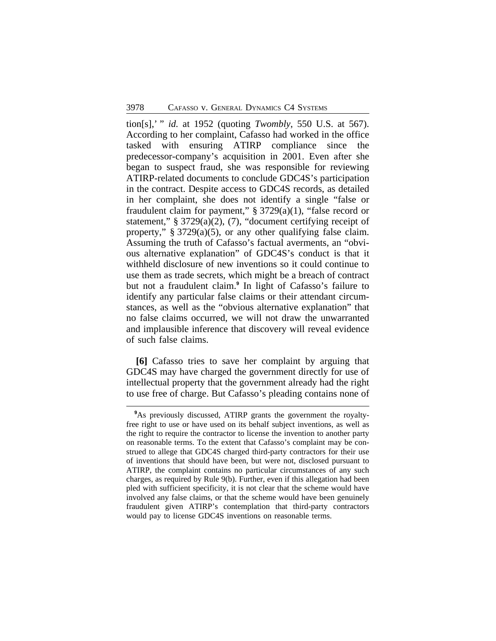tion[s],' " *id.* at 1952 (quoting *Twombly*, 550 U.S. at 567). According to her complaint, Cafasso had worked in the office tasked with ensuring ATIRP compliance since the predecessor-company's acquisition in 2001. Even after she began to suspect fraud, she was responsible for reviewing ATIRP-related documents to conclude GDC4S's participation in the contract. Despite access to GDC4S records, as detailed in her complaint, she does not identify a single "false or fraudulent claim for payment,"  $\S 3729(a)(1)$ , "false record or statement," § 3729(a)(2), (7), "document certifying receipt of property," § 3729(a)(5), or any other qualifying false claim. Assuming the truth of Cafasso's factual averments, an "obvious alternative explanation" of GDC4S's conduct is that it withheld disclosure of new inventions so it could continue to use them as trade secrets, which might be a breach of contract but not a fraudulent claim.**<sup>9</sup>** In light of Cafasso's failure to identify any particular false claims or their attendant circumstances, as well as the "obvious alternative explanation" that no false claims occurred, we will not draw the unwarranted and implausible inference that discovery will reveal evidence of such false claims.

**[6]** Cafasso tries to save her complaint by arguing that GDC4S may have charged the government directly for use of intellectual property that the government already had the right to use free of charge. But Cafasso's pleading contains none of

<sup>&</sup>lt;sup>9</sup>As previously discussed, ATIRP grants the government the royaltyfree right to use or have used on its behalf subject inventions, as well as the right to require the contractor to license the invention to another party on reasonable terms. To the extent that Cafasso's complaint may be construed to allege that GDC4S charged third-party contractors for their use of inventions that should have been, but were not, disclosed pursuant to ATIRP, the complaint contains no particular circumstances of any such charges, as required by Rule 9(b). Further, even if this allegation had been pled with sufficient specificity, it is not clear that the scheme would have involved any false claims, or that the scheme would have been genuinely fraudulent given ATIRP's contemplation that third-party contractors would pay to license GDC4S inventions on reasonable terms.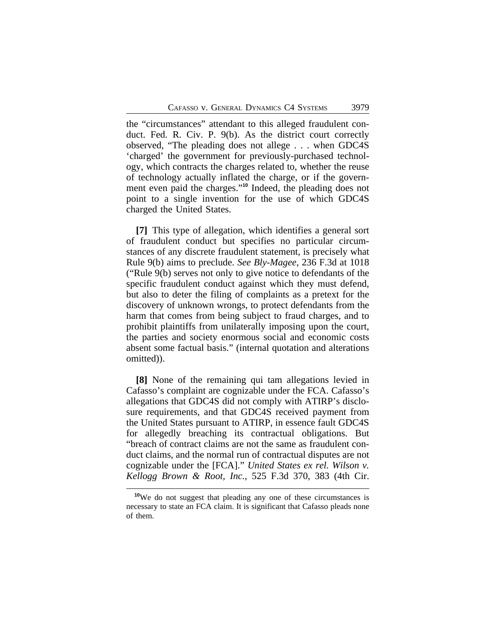the "circumstances" attendant to this alleged fraudulent conduct. Fed. R. Civ. P. 9(b). As the district court correctly observed, "The pleading does not allege . . . when GDC4S 'charged' the government for previously-purchased technology, which contracts the charges related to, whether the reuse of technology actually inflated the charge, or if the government even paid the charges." **<sup>10</sup>** Indeed, the pleading does not point to a single invention for the use of which GDC4S charged the United States.

**[7]** This type of allegation, which identifies a general sort of fraudulent conduct but specifies no particular circumstances of any discrete fraudulent statement, is precisely what Rule 9(b) aims to preclude. *See Bly-Magee*, 236 F.3d at 1018 ("Rule 9(b) serves not only to give notice to defendants of the specific fraudulent conduct against which they must defend, but also to deter the filing of complaints as a pretext for the discovery of unknown wrongs, to protect defendants from the harm that comes from being subject to fraud charges, and to prohibit plaintiffs from unilaterally imposing upon the court, the parties and society enormous social and economic costs absent some factual basis." (internal quotation and alterations omitted)).

**[8]** None of the remaining qui tam allegations levied in Cafasso's complaint are cognizable under the FCA. Cafasso's allegations that GDC4S did not comply with ATIRP's disclosure requirements, and that GDC4S received payment from the United States pursuant to ATIRP, in essence fault GDC4S for allegedly breaching its contractual obligations. But "breach of contract claims are not the same as fraudulent conduct claims, and the normal run of contractual disputes are not cognizable under the [FCA]." *United States ex rel. Wilson v. Kellogg Brown & Root, Inc.*, 525 F.3d 370, 383 (4th Cir.

<sup>&</sup>lt;sup>10</sup>We do not suggest that pleading any one of these circumstances is necessary to state an FCA claim. It is significant that Cafasso pleads none of them.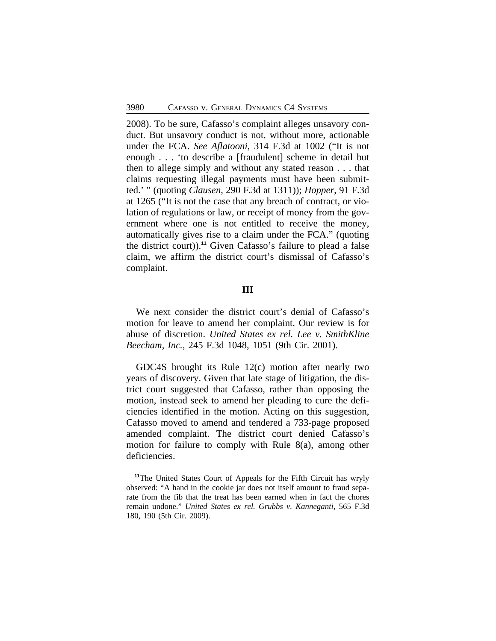2008). To be sure, Cafasso's complaint alleges unsavory conduct. But unsavory conduct is not, without more, actionable under the FCA. *See Aflatooni*, 314 F.3d at 1002 ("It is not enough . . . 'to describe a [fraudulent] scheme in detail but then to allege simply and without any stated reason . . . that claims requesting illegal payments must have been submitted.' " (quoting *Clausen*, 290 F.3d at 1311)); *Hopper*, 91 F.3d at 1265 ("It is not the case that any breach of contract, or violation of regulations or law, or receipt of money from the government where one is not entitled to receive the money, automatically gives rise to a claim under the FCA." (quoting the district court)).**<sup>11</sup>** Given Cafasso's failure to plead a false claim, we affirm the district court's dismissal of Cafasso's complaint.

#### **III**

We next consider the district court's denial of Cafasso's motion for leave to amend her complaint. Our review is for abuse of discretion. *United States ex rel. Lee v. SmithKline Beecham, Inc.*, 245 F.3d 1048, 1051 (9th Cir. 2001).

GDC4S brought its Rule 12(c) motion after nearly two years of discovery. Given that late stage of litigation, the district court suggested that Cafasso, rather than opposing the motion, instead seek to amend her pleading to cure the deficiencies identified in the motion. Acting on this suggestion, Cafasso moved to amend and tendered a 733-page proposed amended complaint. The district court denied Cafasso's motion for failure to comply with Rule 8(a), among other deficiencies.

**<sup>11</sup>**The United States Court of Appeals for the Fifth Circuit has wryly observed: "A hand in the cookie jar does not itself amount to fraud separate from the fib that the treat has been earned when in fact the chores remain undone." *United States ex rel. Grubbs v. Kanneganti*, 565 F.3d 180, 190 (5th Cir. 2009).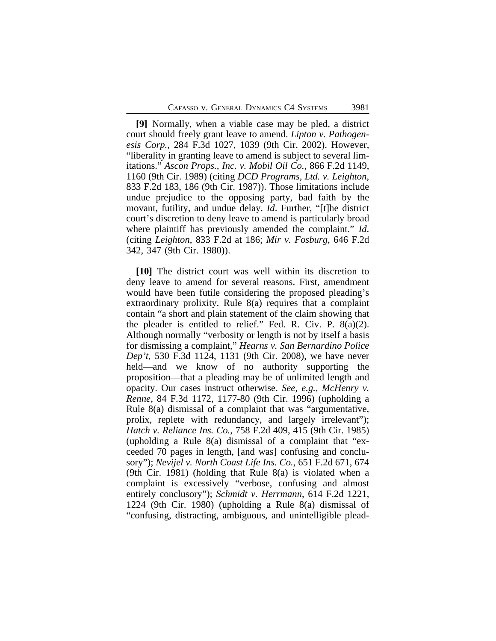**[9]** Normally, when a viable case may be pled, a district court should freely grant leave to amend. *Lipton v. Pathogenesis Corp.*, 284 F.3d 1027, 1039 (9th Cir. 2002). However, "liberality in granting leave to amend is subject to several limitations." *Ascon Props., Inc. v. Mobil Oil Co.*, 866 F.2d 1149, 1160 (9th Cir. 1989) (citing *DCD Programs, Ltd. v. Leighton*, 833 F.2d 183, 186 (9th Cir. 1987)). Those limitations include undue prejudice to the opposing party, bad faith by the movant, futility, and undue delay. *Id*. Further, "[t]he district court's discretion to deny leave to amend is particularly broad where plaintiff has previously amended the complaint." *Id*. (citing *Leighton*, 833 F.2d at 186; *Mir v. Fosburg*, 646 F.2d 342, 347 (9th Cir. 1980)).

**[10]** The district court was well within its discretion to deny leave to amend for several reasons. First, amendment would have been futile considering the proposed pleading's extraordinary prolixity. Rule 8(a) requires that a complaint contain "a short and plain statement of the claim showing that the pleader is entitled to relief." Fed. R. Civ. P. 8(a)(2). Although normally "verbosity or length is not by itself a basis for dismissing a complaint," *Hearns v. San Bernardino Police Dep't*, 530 F.3d 1124, 1131 (9th Cir. 2008), we have never held—and we know of no authority supporting the proposition—that a pleading may be of unlimited length and opacity. Our cases instruct otherwise. *See, e.g.*, *McHenry v. Renne*, 84 F.3d 1172, 1177-80 (9th Cir. 1996) (upholding a Rule 8(a) dismissal of a complaint that was "argumentative, prolix, replete with redundancy, and largely irrelevant"); *Hatch v. Reliance Ins. Co.*, 758 F.2d 409, 415 (9th Cir. 1985) (upholding a Rule 8(a) dismissal of a complaint that "exceeded 70 pages in length, [and was] confusing and conclusory"); *Nevijel v. North Coast Life Ins. Co.*, 651 F.2d 671, 674 (9th Cir. 1981) (holding that Rule 8(a) is violated when a complaint is excessively "verbose, confusing and almost entirely conclusory"); *Schmidt v. Herrmann*, 614 F.2d 1221, 1224 (9th Cir. 1980) (upholding a Rule 8(a) dismissal of "confusing, distracting, ambiguous, and unintelligible plead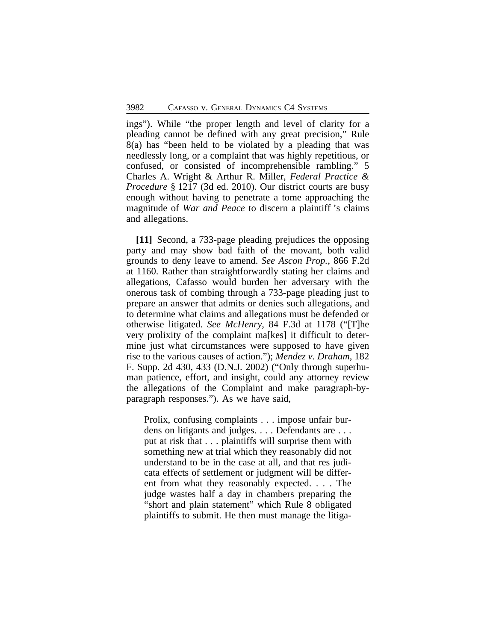ings"). While "the proper length and level of clarity for a pleading cannot be defined with any great precision," Rule 8(a) has "been held to be violated by a pleading that was needlessly long, or a complaint that was highly repetitious, or confused, or consisted of incomprehensible rambling." 5 Charles A. Wright & Arthur R. Miller, *Federal Practice & Procedure* § 1217 (3d ed. 2010). Our district courts are busy enough without having to penetrate a tome approaching the magnitude of *War and Peace* to discern a plaintiff 's claims and allegations.

**[11]** Second, a 733-page pleading prejudices the opposing party and may show bad faith of the movant, both valid grounds to deny leave to amend. *See Ascon Prop.*, 866 F.2d at 1160. Rather than straightforwardly stating her claims and allegations, Cafasso would burden her adversary with the onerous task of combing through a 733-page pleading just to prepare an answer that admits or denies such allegations, and to determine what claims and allegations must be defended or otherwise litigated. *See McHenry*, 84 F.3d at 1178 ("[T]he very prolixity of the complaint ma[kes] it difficult to determine just what circumstances were supposed to have given rise to the various causes of action."); *Mendez v. Draham*, 182 F. Supp. 2d 430, 433 (D.N.J. 2002) ("Only through superhuman patience, effort, and insight, could any attorney review the allegations of the Complaint and make paragraph-byparagraph responses."). As we have said,

Prolix, confusing complaints . . . impose unfair burdens on litigants and judges. . . . Defendants are . . . put at risk that . . . plaintiffs will surprise them with something new at trial which they reasonably did not understand to be in the case at all, and that res judicata effects of settlement or judgment will be different from what they reasonably expected. . . . The judge wastes half a day in chambers preparing the "short and plain statement" which Rule 8 obligated plaintiffs to submit. He then must manage the litiga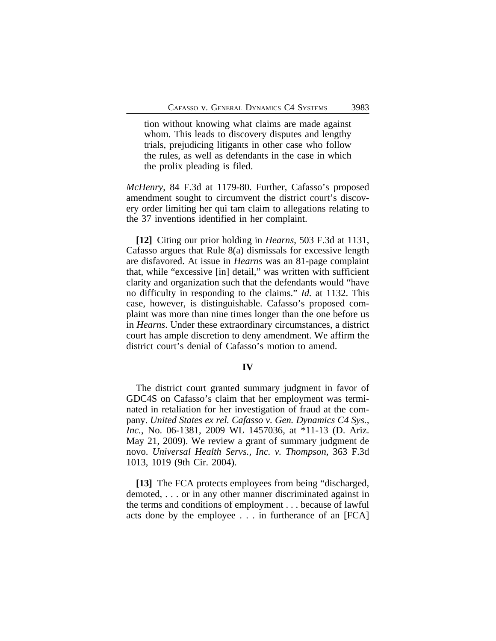tion without knowing what claims are made against whom. This leads to discovery disputes and lengthy trials, prejudicing litigants in other case who follow the rules, as well as defendants in the case in which the prolix pleading is filed.

*McHenry*, 84 F.3d at 1179-80. Further, Cafasso's proposed amendment sought to circumvent the district court's discovery order limiting her qui tam claim to allegations relating to the 37 inventions identified in her complaint.

**[12]** Citing our prior holding in *Hearns*, 503 F.3d at 1131, Cafasso argues that Rule 8(a) dismissals for excessive length are disfavored. At issue in *Hearns* was an 81-page complaint that, while "excessive [in] detail," was written with sufficient clarity and organization such that the defendants would "have no difficulty in responding to the claims." *Id.* at 1132. This case, however, is distinguishable. Cafasso's proposed complaint was more than nine times longer than the one before us in *Hearns*. Under these extraordinary circumstances, a district court has ample discretion to deny amendment. We affirm the district court's denial of Cafasso's motion to amend.

#### **IV**

The district court granted summary judgment in favor of GDC4S on Cafasso's claim that her employment was terminated in retaliation for her investigation of fraud at the company. *United States ex rel. Cafasso v. Gen. Dynamics C4 Sys., Inc.*, No. 06-1381, 2009 WL 1457036, at \*11-13 (D. Ariz. May 21, 2009). We review a grant of summary judgment de novo. *Universal Health Servs., Inc. v. Thompson*, 363 F.3d 1013, 1019 (9th Cir. 2004).

**[13]** The FCA protects employees from being "discharged, demoted, . . . or in any other manner discriminated against in the terms and conditions of employment . . . because of lawful acts done by the employee . . . in furtherance of an [FCA]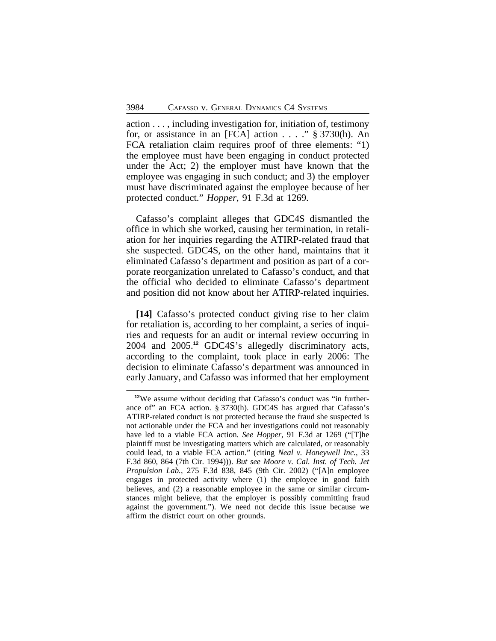action . . . , including investigation for, initiation of, testimony for, or assistance in an [FCA] action . . . ." § 3730(h). An FCA retaliation claim requires proof of three elements: "1) the employee must have been engaging in conduct protected under the Act; 2) the employer must have known that the employee was engaging in such conduct; and 3) the employer must have discriminated against the employee because of her protected conduct." *Hopper*, 91 F.3d at 1269.

Cafasso's complaint alleges that GDC4S dismantled the office in which she worked, causing her termination, in retaliation for her inquiries regarding the ATIRP-related fraud that she suspected. GDC4S, on the other hand, maintains that it eliminated Cafasso's department and position as part of a corporate reorganization unrelated to Cafasso's conduct, and that the official who decided to eliminate Cafasso's department and position did not know about her ATIRP-related inquiries.

**[14]** Cafasso's protected conduct giving rise to her claim for retaliation is, according to her complaint, a series of inquiries and requests for an audit or internal review occurring in 2004 and 2005.**<sup>12</sup>** GDC4S's allegedly discriminatory acts, according to the complaint, took place in early 2006: The decision to eliminate Cafasso's department was announced in early January, and Cafasso was informed that her employment

**<sup>12</sup>**We assume without deciding that Cafasso's conduct was "in furtherance of" an FCA action. § 3730(h). GDC4S has argued that Cafasso's ATIRP-related conduct is not protected because the fraud she suspected is not actionable under the FCA and her investigations could not reasonably have led to a viable FCA action. *See Hopper*, 91 F.3d at 1269 ("[T]he plaintiff must be investigating matters which are calculated, or reasonably could lead, to a viable FCA action." (citing *Neal v. Honeywell Inc.*, 33 F.3d 860, 864 (7th Cir. 1994))). *But see Moore v. Cal. Inst. of Tech. Jet Propulsion Lab.*, 275 F.3d 838, 845 (9th Cir. 2002) ("[A]n employee engages in protected activity where (1) the employee in good faith believes, and (2) a reasonable employee in the same or similar circumstances might believe, that the employer is possibly committing fraud against the government."). We need not decide this issue because we affirm the district court on other grounds.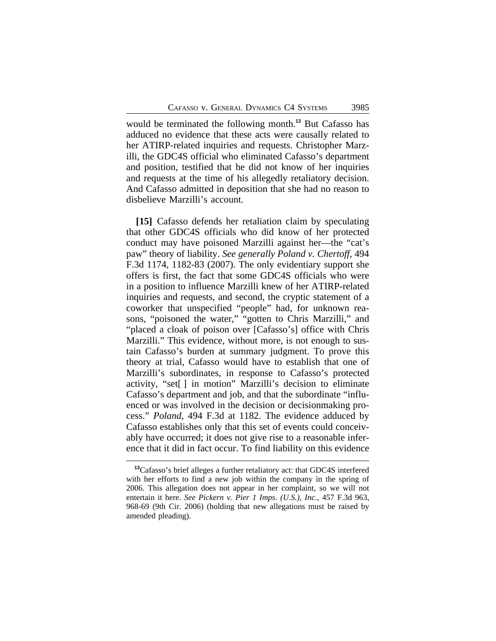would be terminated the following month.**<sup>13</sup>** But Cafasso has adduced no evidence that these acts were causally related to her ATIRP-related inquiries and requests. Christopher Marzilli, the GDC4S official who eliminated Cafasso's department and position, testified that he did not know of her inquiries and requests at the time of his allegedly retaliatory decision. And Cafasso admitted in deposition that she had no reason to disbelieve Marzilli's account.

**[15]** Cafasso defends her retaliation claim by speculating that other GDC4S officials who did know of her protected conduct may have poisoned Marzilli against her—the "cat's paw" theory of liability. *See generally Poland v. Chertoff*, 494 F.3d 1174, 1182-83 (2007). The only evidentiary support she offers is first, the fact that some GDC4S officials who were in a position to influence Marzilli knew of her ATIRP-related inquiries and requests, and second, the cryptic statement of a coworker that unspecified "people" had, for unknown reasons, "poisoned the water," "gotten to Chris Marzilli," and "placed a cloak of poison over [Cafasso's] office with Chris Marzilli." This evidence, without more, is not enough to sustain Cafasso's burden at summary judgment. To prove this theory at trial, Cafasso would have to establish that one of Marzilli's subordinates, in response to Cafasso's protected activity, "set[ ] in motion" Marzilli's decision to eliminate Cafasso's department and job, and that the subordinate "influenced or was involved in the decision or decisionmaking process." *Poland*, 494 F.3d at 1182. The evidence adduced by Cafasso establishes only that this set of events could conceivably have occurred; it does not give rise to a reasonable inference that it did in fact occur. To find liability on this evidence

**<sup>13</sup>**Cafasso's brief alleges a further retaliatory act: that GDC4S interfered with her efforts to find a new job within the company in the spring of 2006. This allegation does not appear in her complaint, so we will not entertain it here. *See Pickern v. Pier 1 Imps. (U.S.), Inc.*, 457 F.3d 963, 968-69 (9th Cir. 2006) (holding that new allegations must be raised by amended pleading).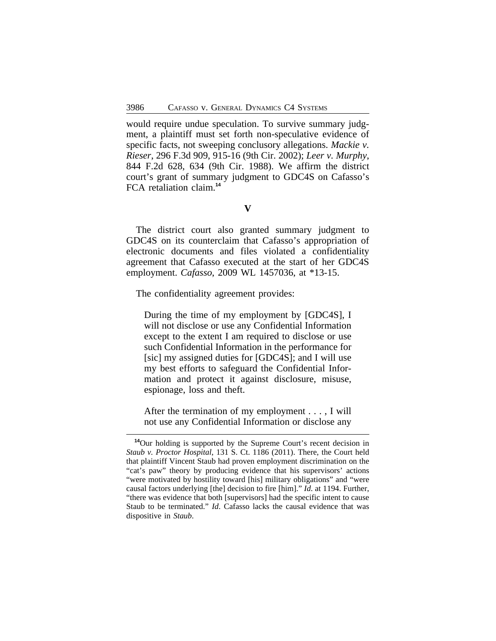would require undue speculation. To survive summary judgment, a plaintiff must set forth non-speculative evidence of specific facts, not sweeping conclusory allegations. *Mackie v. Rieser*, 296 F.3d 909, 915-16 (9th Cir. 2002); *Leer v. Murphy*, 844 F.2d 628, 634 (9th Cir. 1988). We affirm the district court's grant of summary judgment to GDC4S on Cafasso's FCA retaliation claim.**<sup>14</sup>**

#### **V**

The district court also granted summary judgment to GDC4S on its counterclaim that Cafasso's appropriation of electronic documents and files violated a confidentiality agreement that Cafasso executed at the start of her GDC4S employment. *Cafasso*, 2009 WL 1457036, at \*13-15.

The confidentiality agreement provides:

During the time of my employment by [GDC4S], I will not disclose or use any Confidential Information except to the extent I am required to disclose or use such Confidential Information in the performance for [sic] my assigned duties for [GDC4S]; and I will use my best efforts to safeguard the Confidential Information and protect it against disclosure, misuse, espionage, loss and theft.

After the termination of my employment . . . , I will not use any Confidential Information or disclose any

**<sup>14</sup>**Our holding is supported by the Supreme Court's recent decision in *Staub v. Proctor Hospital*, 131 S. Ct. 1186 (2011). There, the Court held that plaintiff Vincent Staub had proven employment discrimination on the "cat's paw" theory by producing evidence that his supervisors' actions "were motivated by hostility toward [his] military obligations" and "were causal factors underlying [the] decision to fire [him]." *Id*. at 1194. Further, "there was evidence that both [supervisors] had the specific intent to cause Staub to be terminated." *Id*. Cafasso lacks the causal evidence that was dispositive in *Staub*.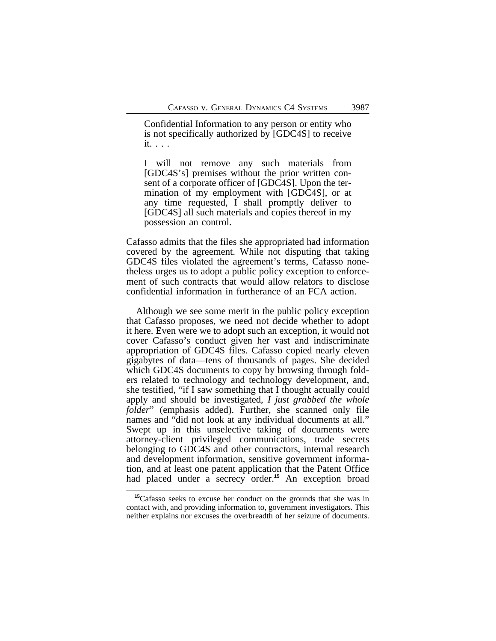Confidential Information to any person or entity who is not specifically authorized by [GDC4S] to receive it. . . .

I will not remove any such materials from [GDC4S's] premises without the prior written consent of a corporate officer of [GDC4S]. Upon the termination of my employment with [GDC4S], or at any time requested, I shall promptly deliver to [GDC4S] all such materials and copies thereof in my possession an control.

Cafasso admits that the files she appropriated had information covered by the agreement. While not disputing that taking GDC4S files violated the agreement's terms, Cafasso nonetheless urges us to adopt a public policy exception to enforcement of such contracts that would allow relators to disclose confidential information in furtherance of an FCA action.

Although we see some merit in the public policy exception that Cafasso proposes, we need not decide whether to adopt it here. Even were we to adopt such an exception, it would not cover Cafasso's conduct given her vast and indiscriminate appropriation of GDC4S files. Cafasso copied nearly eleven gigabytes of data—tens of thousands of pages. She decided which GDC4S documents to copy by browsing through folders related to technology and technology development, and, she testified, "if I saw something that I thought actually could apply and should be investigated, *I just grabbed the whole folder*" (emphasis added). Further, she scanned only file names and "did not look at any individual documents at all." Swept up in this unselective taking of documents were attorney-client privileged communications, trade secrets belonging to GDC4S and other contractors, internal research and development information, sensitive government information, and at least one patent application that the Patent Office had placed under a secrecy order.<sup>15</sup> An exception broad

**<sup>15</sup>**Cafasso seeks to excuse her conduct on the grounds that she was in contact with, and providing information to, government investigators. This neither explains nor excuses the overbreadth of her seizure of documents.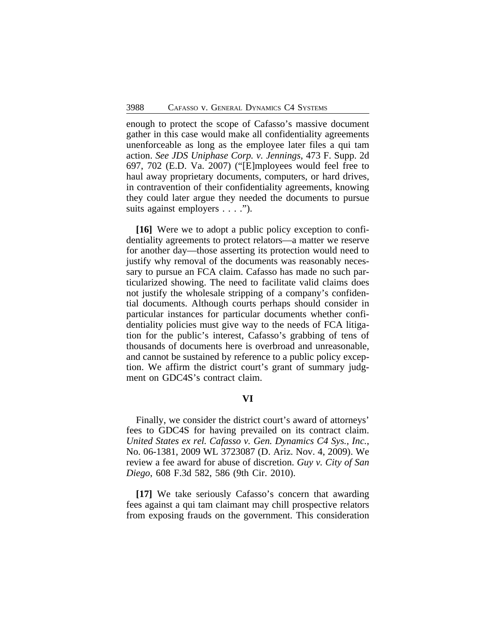enough to protect the scope of Cafasso's massive document gather in this case would make all confidentiality agreements unenforceable as long as the employee later files a qui tam action. *See JDS Uniphase Corp. v. Jennings*, 473 F. Supp. 2d 697, 702 (E.D. Va. 2007) ("[E]mployees would feel free to haul away proprietary documents, computers, or hard drives, in contravention of their confidentiality agreements, knowing they could later argue they needed the documents to pursue suits against employers . . . .").

**[16]** Were we to adopt a public policy exception to confidentiality agreements to protect relators—a matter we reserve for another day—those asserting its protection would need to justify why removal of the documents was reasonably necessary to pursue an FCA claim. Cafasso has made no such particularized showing. The need to facilitate valid claims does not justify the wholesale stripping of a company's confidential documents. Although courts perhaps should consider in particular instances for particular documents whether confidentiality policies must give way to the needs of FCA litigation for the public's interest, Cafasso's grabbing of tens of thousands of documents here is overbroad and unreasonable, and cannot be sustained by reference to a public policy exception. We affirm the district court's grant of summary judgment on GDC4S's contract claim.

## **VI**

Finally, we consider the district court's award of attorneys' fees to GDC4S for having prevailed on its contract claim. *United States ex rel. Cafasso v. Gen. Dynamics C4 Sys., Inc.*, No. 06-1381, 2009 WL 3723087 (D. Ariz. Nov. 4, 2009). We review a fee award for abuse of discretion. *Guy v. City of San Diego*, 608 F.3d 582, 586 (9th Cir. 2010).

**[17]** We take seriously Cafasso's concern that awarding fees against a qui tam claimant may chill prospective relators from exposing frauds on the government. This consideration